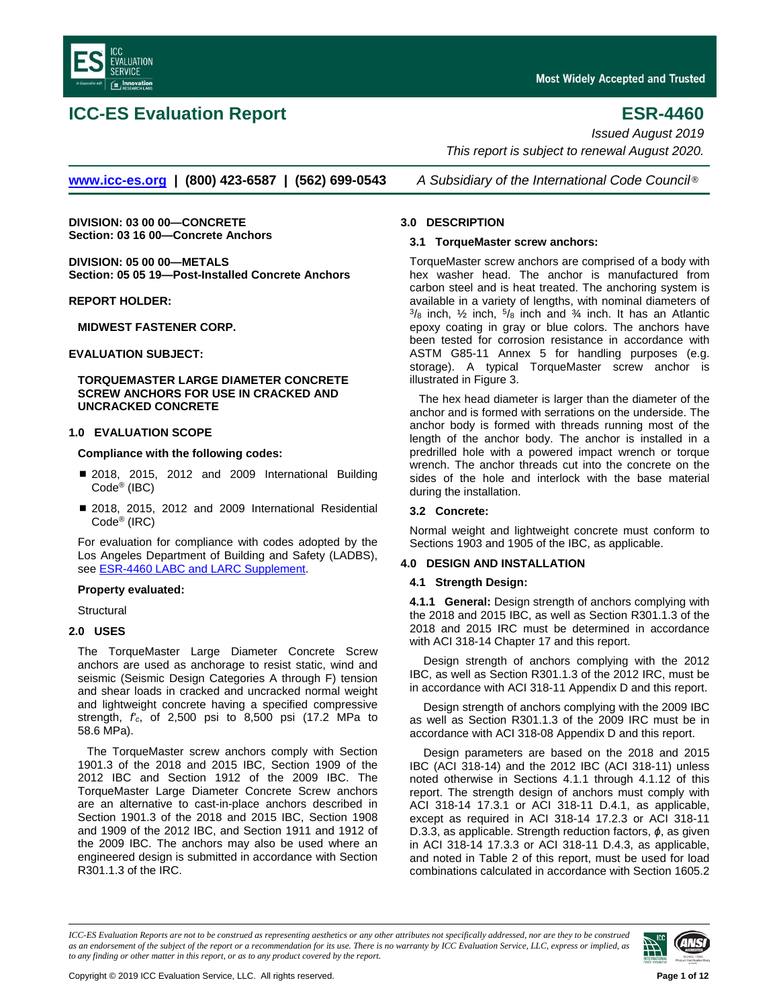<span id="page-0-0"></span>

# **ICC-ES Evaluation Report ESR-4460**

*Issued August 2019 This report is subject to renewal August 2020.*

**[www.icc-es.org](http://www.icc-es.org/) | (800) 423-6587 | (562) 699-0543** *A Subsidiary of the International Code Council* ®

**DIVISION: 03 00 00—CONCRETE Section: 03 16 00—Concrete Anchors**

**DIVISION: 05 00 00—METALS Section: 05 05 19—Post-Installed Concrete Anchors**

**REPORT HOLDER:**

**MIDWEST FASTENER CORP.**

## **EVALUATION SUBJECT:**

**TORQUEMASTER LARGE DIAMETER CONCRETE SCREW ANCHORS FOR USE IN CRACKED AND UNCRACKED CONCRETE**

### **1.0 EVALUATION SCOPE**

### **Compliance with the following codes:**

- 2018, 2015, 2012 and 2009 International Building Code® (IBC)
- 2018, 2015, 2012 and 2009 International Residential Code® (IRC)

For evaluation for compliance with codes adopted by the Los Angeles Department of Building and Safety (LADBS), see ESR-4460 [LABC and LARC Supplement.](#page-8-0)

### **Property evaluated:**

**Structural** 

# **2.0 USES**

The TorqueMaster Large Diameter Concrete Screw anchors are used as anchorage to resist static, wind and seismic (Seismic Design Categories A through F) tension and shear loads in cracked and uncracked normal weight and lightweight concrete having a specified compressive strength, *f'c*, of 2,500 psi to 8,500 psi (17.2 MPa to 58.6 MPa).

The TorqueMaster screw anchors comply with Section 1901.3 of the 2018 and 2015 IBC, Section 1909 of the 2012 IBC and Section 1912 of the 2009 IBC. The TorqueMaster Large Diameter Concrete Screw anchors are an alternative to cast-in-place anchors described in Section 1901.3 of the 2018 and 2015 IBC, Section 1908 and 1909 of the 2012 IBC, and Section 1911 and 1912 of the 2009 IBC. The anchors may also be used where an engineered design is submitted in accordance with Section R301.1.3 of the IRC.

### **3.0 DESCRIPTION**

### **3.1 TorqueMaster screw anchors:**

TorqueMaster screw anchors are comprised of a body with hex washer head. The anchor is manufactured from carbon steel and is heat treated. The anchoring system is available in a variety of lengths, with nominal diameters of  $3/8$  inch,  $1/2$  inch,  $5/8$  inch and  $3/4$  inch. It has an Atlantic epoxy coating in gray or blue colors. The anchors have been tested for corrosion resistance in accordance with ASTM G85-11 Annex 5 for handling purposes (e.g. storage). A typical TorqueMaster screw anchor is illustrated in Figure 3.

The hex head diameter is larger than the diameter of the anchor and is formed with serrations on the underside. The anchor body is formed with threads running most of the length of the anchor body. The anchor is installed in a predrilled hole with a powered impact wrench or torque wrench. The anchor threads cut into the concrete on the sides of the hole and interlock with the base material during the installation.

# **3.2 Concrete:**

Normal weight and lightweight concrete must conform to Sections 1903 and 1905 of the IBC, as applicable.

# **4.0 DESIGN AND INSTALLATION**

### **4.1 Strength Design:**

**4.1.1 General:** Design strength of anchors complying with the 2018 and 2015 IBC, as well as Section R301.1.3 of the 2018 and 2015 IRC must be determined in accordance with ACI 318-14 Chapter 17 and this report.

Design strength of anchors complying with the 2012 IBC, as well as Section R301.1.3 of the 2012 IRC, must be in accordance with ACI 318-11 Appendix D and this report.

Design strength of anchors complying with the 2009 IBC as well as Section R301.1.3 of the 2009 IRC must be in accordance with ACI 318-08 Appendix D and this report.

Design parameters are based on the 2018 and 2015 IBC (ACI 318-14) and the 2012 IBC (ACI 318-11) unless noted otherwise in Sections 4.1.1 through 4.1.12 of this report. The strength design of anchors must comply with ACI 318-14 17.3.1 or ACI 318-11 D.4.1, as applicable, except as required in ACI 318-14 17.2.3 or ACI 318-11 D.3.3, as applicable. Strength reduction factors, *ϕ*, as given in ACI 318-14 17.3.3 or ACI 318-11 D.4.3, as applicable, and noted in Table 2 of this report, must be used for load combinations calculated in accordance with Section 1605.2

*ICC-ES Evaluation Reports are not to be construed as representing aesthetics or any other attributes not specifically addressed, nor are they to be construed as an endorsement of the subject of the report or a recommendation for its use. There is no warranty by ICC Evaluation Service, LLC, express or implied, as to any finding or other matter in this report, or as to any product covered by the report.*

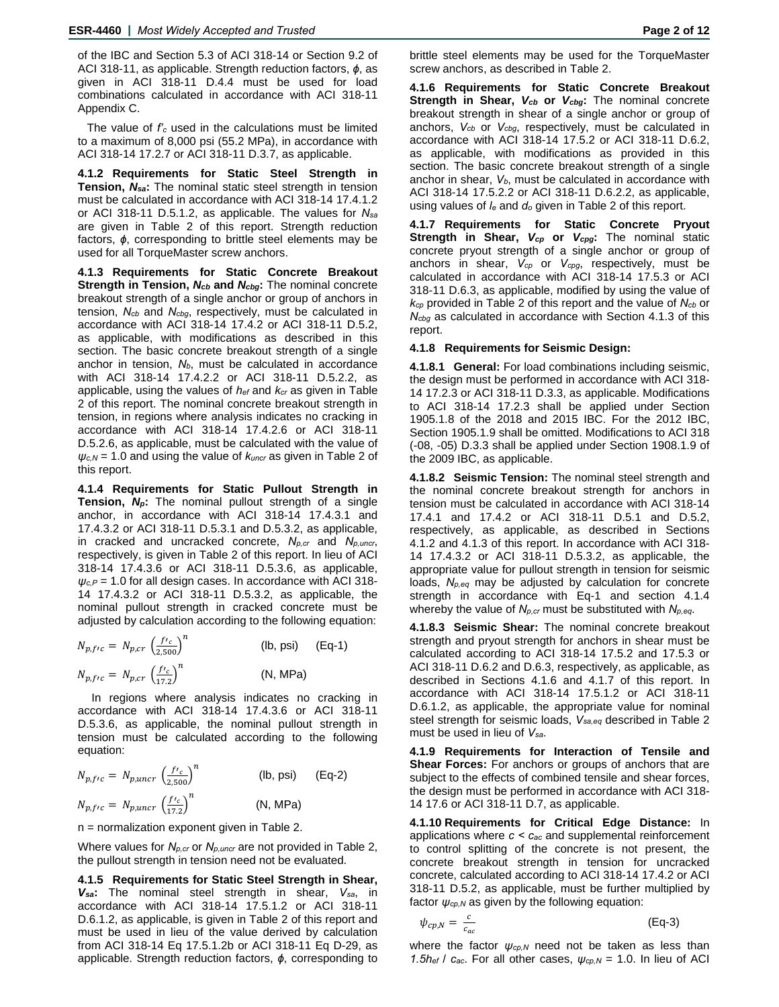of the IBC and Section 5.3 of ACI 318-14 or Section 9.2 of ACI 318-11, as applicable. Strength reduction factors, *ϕ*, as given in ACI 318-11 D.4.4 must be used for load combinations calculated in accordance with ACI 318-11 Appendix C.

The value of *f'c* used in the calculations must be limited to a maximum of 8,000 psi (55.2 MPa), in accordance with ACI 318-14 17.2.7 or ACI 318-11 D.3.7, as applicable.

**4.1.2 Requirements for Static Steel Strength in Tension,** *Nsa***:** The nominal static steel strength in tension must be calculated in accordance with ACI 318-14 17.4.1.2 or ACI 318-11 D.5.1.2, as applicable. The values for *Nsa* are given in Table 2 of this report. Strength reduction factors, *ϕ*, corresponding to brittle steel elements may be used for all TorqueMaster screw anchors.

**4.1.3 Requirements for Static Concrete Breakout Strength in Tension,** *Ncb* **and** *Ncbg***:** The nominal concrete breakout strength of a single anchor or group of anchors in tension, *Ncb* and *Ncbg*, respectively, must be calculated in accordance with ACI 318-14 17.4.2 or ACI 318-11 D.5.2, as applicable, with modifications as described in this section. The basic concrete breakout strength of a single anchor in tension,  $N_b$ , must be calculated in accordance with ACI 318-14 17.4.2.2 or ACI 318-11 D.5.2.2, as applicable, using the values of *hef* and *kcr* as given in Table 2 of this report. The nominal concrete breakout strength in tension, in regions where analysis indicates no cracking in accordance with ACI 318-14 17.4.2.6 or ACI 318-11 D.5.2.6, as applicable, must be calculated with the value of *ψc,N* = 1.0 and using the value of *kuncr* as given in Table 2 of this report.

**4.1.4 Requirements for Static Pullout Strength in Tension,** *Np***:** The nominal pullout strength of a single anchor, in accordance with ACI 318-14 17.4.3.1 and 17.4.3.2 or ACI 318-11 D.5.3.1 and D.5.3.2, as applicable, in cracked and uncracked concrete, *Np,cr* and *Np,uncr*, respectively, is given in Table 2 of this report. In lieu of ACI 318-14 17.4.3.6 or ACI 318-11 D.5.3.6, as applicable,  $\psi_{c,P}$  = 1.0 for all design cases. In accordance with ACI 318-14 17.4.3.2 or ACI 318-11 D.5.3.2, as applicable, the nominal pullout strength in cracked concrete must be adjusted by calculation according to the following equation:

$$
N_{p,frc} = N_{p,cr} \left(\frac{f r_c}{2,500}\right)^n
$$
 (lb, psi) (Eq-1)  
\n
$$
N_{p,frc} = N_{p,cr} \left(\frac{f r_c}{17.2}\right)^n
$$
 (N, MPa)

In regions where analysis indicates no cracking in accordance with ACI 318-14 17.4.3.6 or ACI 318-11 D.5.3.6, as applicable, the nominal pullout strength in tension must be calculated according to the following equation:

| $N_{p,frc} = N_{p,uncr} \left(\frac{f r_c}{2,500}\right)^n$ |  | $(lb, psi)$ $(Eq-2)$ |  |
|-------------------------------------------------------------|--|----------------------|--|
| $N_{p,frc} = N_{p,uncr} \left(\frac{f r_c}{17.2}\right)^n$  |  | (N, MPa)             |  |

n = normalization exponent given in Table 2.

Where values for *Np,cr* or *Np,uncr* are not provided in Table 2, the pullout strength in tension need not be evaluated.

**4.1.5 Requirements for Static Steel Strength in Shear,**  *Vsa***:** The nominal steel strength in shear, *Vsa*, in accordance with ACI 318-14 17.5.1.2 or ACI 318-11 D.6.1.2, as applicable, is given in Table 2 of this report and must be used in lieu of the value derived by calculation from ACI 318-14 Eq 17.5.1.2b or ACI 318-11 Eq D-29, as applicable. Strength reduction factors, *ϕ*, corresponding to

brittle steel elements may be used for the TorqueMaster screw anchors, as described in Table 2.

**4.1.6 Requirements for Static Concrete Breakout Strength in Shear,** *Vcb* **or** *Vcbg***:** The nominal concrete breakout strength in shear of a single anchor or group of anchors, *Vcb* or *Vcbg*, respectively, must be calculated in accordance with ACI 318-14 17.5.2 or ACI 318-11 D.6.2, as applicable, with modifications as provided in this section. The basic concrete breakout strength of a single anchor in shear, *Vb*, must be calculated in accordance with ACI 318-14 17.5.2.2 or ACI 318-11 D.6.2.2, as applicable, using values of *le* and *do* given in Table 2 of this report.

**4.1.7 Requirements for Static Concrete Pryout Strength in Shear,** *Vcp* **or** *Vcpg***:** The nominal static concrete pryout strength of a single anchor or group of anchors in shear, *Vcp* or *Vcpg*, respectively, must be calculated in accordance with ACI 318-14 17.5.3 or ACI 318-11 D.6.3, as applicable, modified by using the value of *kcp* provided in Table 2 of this report and the value of *Ncb* or *Ncbg* as calculated in accordance with Section 4.1.3 of this report.

### **4.1.8 Requirements for Seismic Design:**

**4.1.8.1 General:** For load combinations including seismic, the design must be performed in accordance with ACI 318- 14 17.2.3 or ACI 318-11 D.3.3, as applicable. Modifications to ACI 318-14 17.2.3 shall be applied under Section 1905.1.8 of the 2018 and 2015 IBC. For the 2012 IBC, Section 1905.1.9 shall be omitted. Modifications to ACI 318 (-08, -05) D.3.3 shall be applied under Section 1908.1.9 of the 2009 IBC, as applicable.

**4.1.8.2 Seismic Tension:** The nominal steel strength and the nominal concrete breakout strength for anchors in tension must be calculated in accordance with ACI 318-14 17.4.1 and 17.4.2 or ACI 318-11 D.5.1 and D.5.2, respectively, as applicable, as described in Sections 4.1.2 and 4.1.3 of this report. In accordance with ACI 318- 14 17.4.3.2 or ACI 318-11 D.5.3.2, as applicable, the appropriate value for pullout strength in tension for seismic loads, *Np,eq* may be adjusted by calculation for concrete strength in accordance with Eq-1 and section 4.1.4 whereby the value of *Np,cr* must be substituted with *Np,eq*.

**4.1.8.3 Seismic Shear:** The nominal concrete breakout strength and pryout strength for anchors in shear must be calculated according to ACI 318-14 17.5.2 and 17.5.3 or ACI 318-11 D.6.2 and D.6.3, respectively, as applicable, as described in Sections 4.1.6 and 4.1.7 of this report. In accordance with ACI 318-14 17.5.1.2 or ACI 318-11 D.6.1.2, as applicable, the appropriate value for nominal steel strength for seismic loads, *Vsa,eq* described in Table 2 must be used in lieu of *Vsa*.

**4.1.9 Requirements for Interaction of Tensile and Shear Forces:** For anchors or groups of anchors that are subject to the effects of combined tensile and shear forces, the design must be performed in accordance with ACI 318- 14 17.6 or ACI 318-11 D.7, as applicable.

**4.1.10 Requirements for Critical Edge Distance:** In applications where *c < cac* and supplemental reinforcement to control splitting of the concrete is not present, the concrete breakout strength in tension for uncracked concrete, calculated according to ACI 318-14 17.4.2 or ACI 318-11 D.5.2, as applicable, must be further multiplied by factor  $\psi_{cp,N}$  as given by the following equation:

$$
\psi_{cp,N} = \frac{c}{c_{ac}} \tag{Eq-3}
$$

where the factor  $\psi_{cp,N}$  need not be taken as less than *1.5hef* /  $c_{ac}$ . For all other cases,  $\psi_{cp,N}$  = 1.0. In lieu of ACI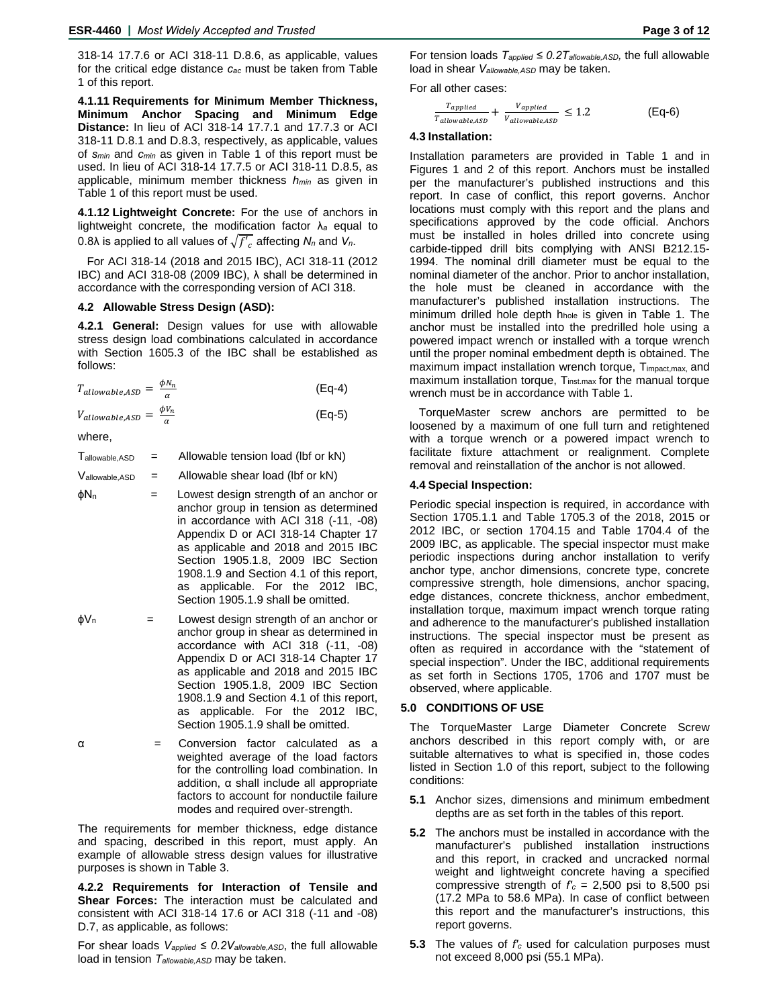318-14 17.7.6 or ACI 318-11 D.8.6, as applicable, values for the critical edge distance *cac* must be taken from Table 1 of this report.

**4.1.11 Requirements for Minimum Member Thickness, Minimum Anchor Spacing and Minimum Edge Distance:** In lieu of ACI 318-14 17.7.1 and 17.7.3 or ACI 318-11 D.8.1 and D.8.3, respectively, as applicable, values of *smin* and *cmin* as given in Table 1 of this report must be used. In lieu of ACI 318-14 17.7.5 or ACI 318-11 D.8.5, as applicable, minimum member thickness *hmin* as given in Table 1 of this report must be used.

**4.1.12 Lightweight Concrete:** For the use of anchors in lightweight concrete, the modification factor λ*<sup>a</sup>* equal to 0.8 $\lambda$  is applied to all values of  $\sqrt{f'}_c$  affecting  $N_n$  and  $V_n$ .

For ACI 318-14 (2018 and 2015 IBC), ACI 318-11 (2012 IBC) and ACI 318-08 (2009 IBC), λ shall be determined in accordance with the corresponding version of ACI 318.

### **4.2 Allowable Stress Design (ASD):**

**4.2.1 General:** Design values for use with allowable stress design load combinations calculated in accordance with Section 1605.3 of the IBC shall be established as follows:

| $T_{allowable,ASD} = \frac{\phi N_n}{\alpha}$ | $(Eq-4)$ |
|-----------------------------------------------|----------|
| $V_{allowable,ASD} = \frac{\phi V_n}{\phi}$   | $(Eq-5)$ |

where,

 $T_{\text{allowable,ASD}}$  = Allowable tension load (lbf or kN)

 $V_{\text{allowable,ASD}}$  = Allowable shear load (lbf or kN)

- $\phi$ N<sub>n</sub> = Lowest design strength of an anchor or anchor group in tension as determined in accordance with ACI 318 (-11, -08) Appendix D or ACI 318-14 Chapter 17 as applicable and 2018 and 2015 IBC Section 1905.1.8, 2009 IBC Section 1908.1.9 and Section 4.1 of this report, as applicable. For the 2012 IBC, Section 1905.1.9 shall be omitted.
- $\phi V_n$  = Lowest design strength of an anchor or anchor group in shear as determined in accordance with ACI 318 (-11, -08) Appendix D or ACI 318-14 Chapter 17 as applicable and 2018 and 2015 IBC Section 1905.1.8, 2009 IBC Section 1908.1.9 and Section 4.1 of this report, as applicable. For the 2012 IBC, Section 1905.1.9 shall be omitted.

α = Conversion factor calculated as a weighted average of the load factors for the controlling load combination. In addition, α shall include all appropriate factors to account for nonductile failure modes and required over-strength.

The requirements for member thickness, edge distance and spacing, described in this report, must apply. An example of allowable stress design values for illustrative purposes is shown in Table 3.

**4.2.2 Requirements for Interaction of Tensile and Shear Forces:** The interaction must be calculated and consistent with ACI 318-14 17.6 or ACI 318 (-11 and -08) D.7, as applicable, as follows:

For shear loads  $V_{\text{applied}} \leq 0.2V_{\text{allowable,ASD}}$ , the full allowable load in tension *Tallowable,ASD* may be taken.

For tension loads *Tapplied ≤ 0.2Tallowable,ASD,* the full allowable load in shear *Vallowable,ASD* may be taken.

For all other cases:

$$
\frac{T_{applied}}{T_{allowable,ASD}} + \frac{V_{applied}}{V_{allowable,ASD}} \le 1.2
$$
 (Eq-6)

### **4.3 Installation:**

Installation parameters are provided in Table 1 and in Figures 1 and 2 of this report. Anchors must be installed per the manufacturer's published instructions and this report. In case of conflict, this report governs. Anchor locations must comply with this report and the plans and specifications approved by the code official. Anchors must be installed in holes drilled into concrete using carbide-tipped drill bits complying with ANSI B212.15- 1994. The nominal drill diameter must be equal to the nominal diameter of the anchor. Prior to anchor installation, the hole must be cleaned in accordance with the manufacturer's published installation instructions. The minimum drilled hole depth hhole is given in Table 1. The anchor must be installed into the predrilled hole using a powered impact wrench or installed with a torque wrench until the proper nominal embedment depth is obtained. The maximum impact installation wrench torque, T<sub>impact,max</sub>, and maximum installation torque, Tinst.max for the manual torque wrench must be in accordance with Table 1.

TorqueMaster screw anchors are permitted to be loosened by a maximum of one full turn and retightened with a torque wrench or a powered impact wrench to facilitate fixture attachment or realignment. Complete removal and reinstallation of the anchor is not allowed.

### **4.4 Special Inspection:**

Periodic special inspection is required, in accordance with Section 1705.1.1 and Table 1705.3 of the 2018, 2015 or 2012 IBC, or section 1704.15 and Table 1704.4 of the 2009 IBC, as applicable. The special inspector must make periodic inspections during anchor installation to verify anchor type, anchor dimensions, concrete type, concrete compressive strength, hole dimensions, anchor spacing, edge distances, concrete thickness, anchor embedment, installation torque, maximum impact wrench torque rating and adherence to the manufacturer's published installation instructions. The special inspector must be present as often as required in accordance with the "statement of special inspection". Under the IBC, additional requirements as set forth in Sections 1705, 1706 and 1707 must be observed, where applicable.

### **5.0 CONDITIONS OF USE**

The TorqueMaster Large Diameter Concrete Screw anchors described in this report comply with, or are suitable alternatives to what is specified in, those codes listed in Section 1.0 of this report, subject to the following conditions:

- **5.1** Anchor sizes, dimensions and minimum embedment depths are as set forth in the tables of this report.
- **5.2** The anchors must be installed in accordance with the manufacturer's published installation instructions and this report, in cracked and uncracked normal weight and lightweight concrete having a specified compressive strength of  $f_c = 2,500$  psi to 8,500 psi (17.2 MPa to 58.6 MPa). In case of conflict between this report and the manufacturer's instructions, this report governs.
- **5.3** The values of *f'c* used for calculation purposes must not exceed 8,000 psi (55.1 MPa).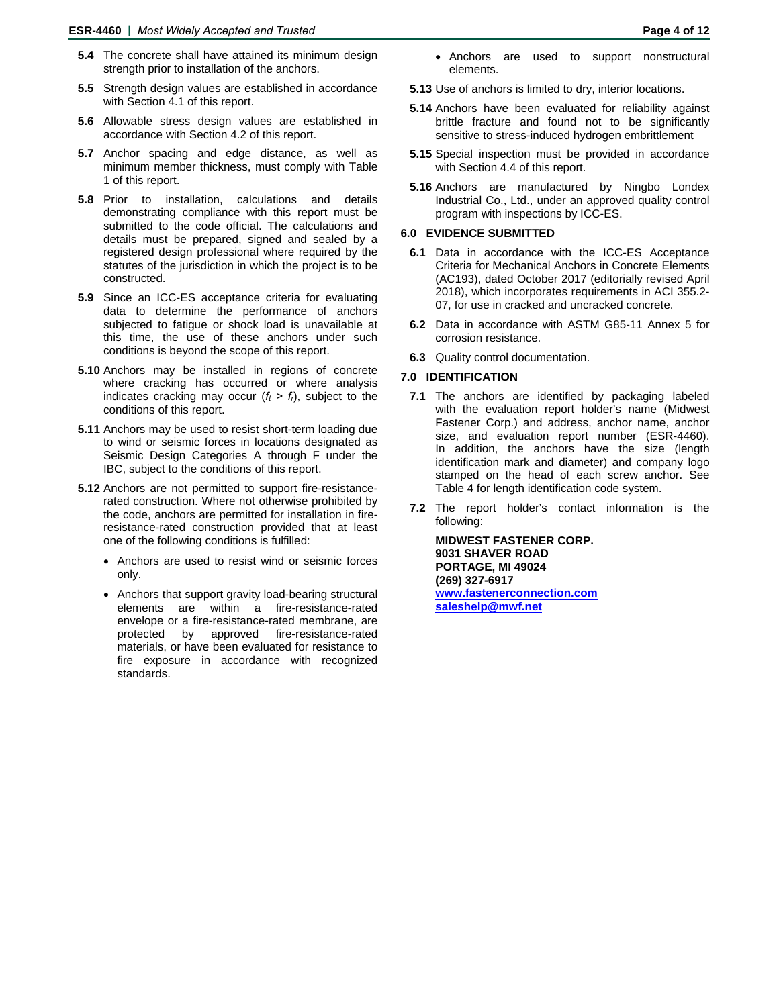- **5.4** The concrete shall have attained its minimum design strength prior to installation of the anchors.
- **5.5** Strength design values are established in accordance with Section 4.1 of this report.
- **5.6** Allowable stress design values are established in accordance with Section 4.2 of this report.
- **5.7** Anchor spacing and edge distance, as well as minimum member thickness, must comply with Table 1 of this report.
- **5.8** Prior to installation, calculations and details demonstrating compliance with this report must be submitted to the code official. The calculations and details must be prepared, signed and sealed by a registered design professional where required by the statutes of the jurisdiction in which the project is to be constructed.
- **5.9** Since an ICC-ES acceptance criteria for evaluating data to determine the performance of anchors subjected to fatigue or shock load is unavailable at this time, the use of these anchors under such conditions is beyond the scope of this report.
- **5.10** Anchors may be installed in regions of concrete where cracking has occurred or where analysis indicates cracking may occur  $(f_t > f_t)$ , subject to the conditions of this report.
- **5.11** Anchors may be used to resist short-term loading due to wind or seismic forces in locations designated as Seismic Design Categories A through F under the IBC, subject to the conditions of this report.
- **5.12** Anchors are not permitted to support fire-resistancerated construction. Where not otherwise prohibited by the code, anchors are permitted for installation in fireresistance-rated construction provided that at least one of the following conditions is fulfilled:
	- Anchors are used to resist wind or seismic forces only.
	- Anchors that support gravity load-bearing structural elements are within a fire-resistance-rated envelope or a fire-resistance-rated membrane, are<br>protected by approved fire-resistance-rated approved fire-resistance-rated materials, or have been evaluated for resistance to fire exposure in accordance with recognized standards.
- Anchors are used to support nonstructural elements.
- **5.13** Use of anchors is limited to dry, interior locations.
- **5.14** Anchors have been evaluated for reliability against brittle fracture and found not to be significantly sensitive to stress-induced hydrogen embrittlement
- **5.15** Special inspection must be provided in accordance with Section 4.4 of this report.
- **5.16** Anchors are manufactured by Ningbo Londex Industrial Co., Ltd., under an approved quality control program with inspections by ICC-ES.

## **6.0 EVIDENCE SUBMITTED**

- **6.1** Data in accordance with the ICC-ES Acceptance Criteria for Mechanical Anchors in Concrete Elements (AC193), dated October 2017 (editorially revised April 2018), which incorporates requirements in ACI 355.2- 07, for use in cracked and uncracked concrete.
- **6.2** Data in accordance with ASTM G85-11 Annex 5 for corrosion resistance.
- **6.3** Quality control documentation.

# **7.0 IDENTIFICATION**

- **7.1** The anchors are identified by packaging labeled with the evaluation report holder's name (Midwest Fastener Corp.) and address, anchor name, anchor size, and evaluation report number (ESR-4460). In addition, the anchors have the size (length identification mark and diameter) and company logo stamped on the head of each screw anchor. See Table 4 for length identification code system.
- **7.2** The report holder's contact information is the following:

**MIDWEST FASTENER CORP. 9031 SHAVER ROAD PORTAGE, MI 49024 (269) 327-6917 [www.fastenerconnection.com](http://www.fastenerconnection.com/) [saleshelp@mwf.net](mailto:saleshelp@mwf.net)**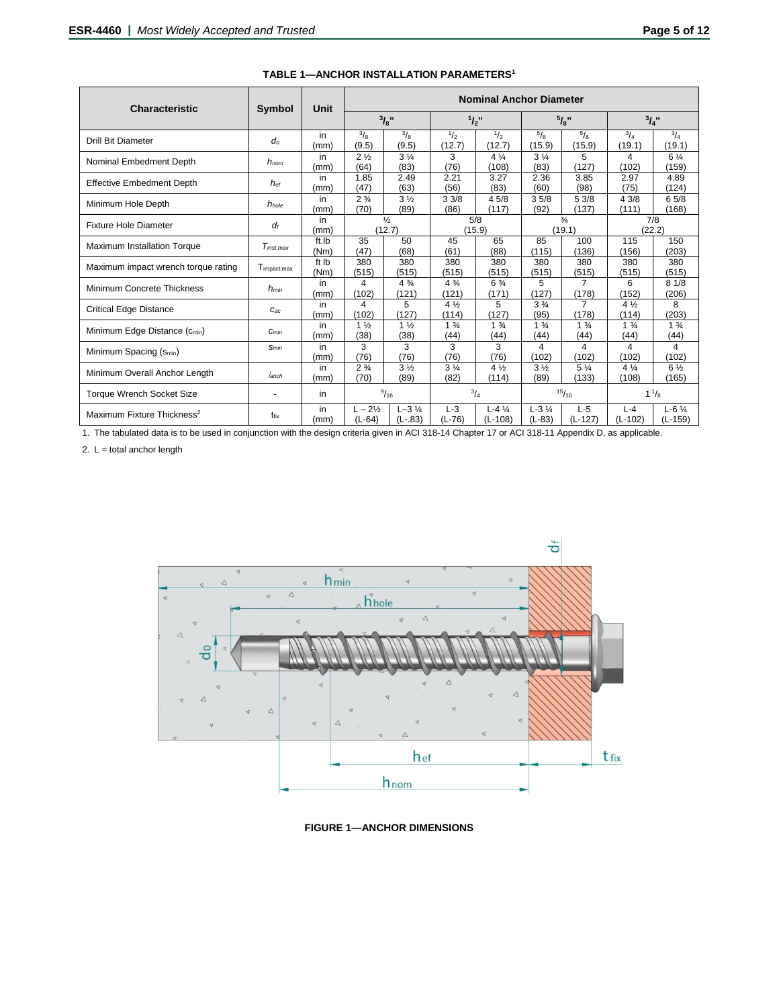| <b>Characteristic</b>                     | Symbol            | Unit          | <b>Nominal Anchor Diameter</b> |                                 |                         |                                 |                                       |                         |                         |                         |
|-------------------------------------------|-------------------|---------------|--------------------------------|---------------------------------|-------------------------|---------------------------------|---------------------------------------|-------------------------|-------------------------|-------------------------|
|                                           |                   |               | 3/8"                           |                                 | $1/2$ "                 |                                 | $5/3$ ,                               |                         | $^{3}I_{4}$ "           |                         |
| <b>Drill Bit Diameter</b>                 | $d_o$             | in<br>(mm`    | $\frac{3}{8}$<br>(9.5)         | $\frac{3}{8}$<br>(9.5)          | 1/2<br>(12.7)           | 1/2<br>(12.7)                   | $\frac{5}{8}$<br>(15.9)               | $\frac{5}{8}$<br>(15.9) | $^{3}/_{4}$<br>(19.1)   | $^{3}/_{4}$<br>(19.1)   |
| Nominal Embedment Depth                   | $h_{nom}$         | in<br>(mm)    | $2\frac{1}{2}$<br>(64)         | 3 <sub>4</sub><br>(83)          | 3<br>(76)               | $4\frac{1}{4}$<br>(108)         | $3\frac{1}{4}$<br>(83)                | 5<br>(127)              | 4<br>(102)              | $6\frac{1}{4}$<br>(159) |
| <b>Effective Embedment Depth</b>          | $h_{\text{ef}}$   | in<br>(mm)    | 1.85<br>(47)                   | 2.49<br>(63)                    | 2.21<br>(56)            | 3.27<br>(83)                    | 2.36<br>(60)                          | 3.85<br>(98)            | 2.97<br>(75)            | 4.89<br>(124)           |
| Minimum Hole Depth                        | h <sub>hole</sub> | in<br>(mm`    | $2\frac{3}{4}$<br>(70)         | 3 <sub>2</sub><br>(89)          | 33/8<br>(86)            | 4 5/8<br>(117)                  | 35/8<br>(92)                          | 53/8<br>(137)           | 43/8<br>(111)           | 65/8<br>(168)           |
| <b>Fixture Hole Diameter</b>              | df                | in<br>(mm)    |                                | $\frac{1}{2}$<br>(12.7)         | (15.9)                  | 5/8                             |                                       | $\frac{3}{4}$<br>(19.1) |                         | 7/8<br>(22.2)           |
| Maximum Installation Torque               | $T_{inst.max}$    | ft.lb<br>(Nm) | 35<br>(47)                     | 50<br>(68)                      | 45<br>(61)              | 65<br>(88)                      | 85<br>(115)                           | 100<br>(136)            | 115<br>(156)            | 150<br>(203)            |
| Maximum impact wrench torque rating       | Timpact.max       | ft Ib<br>(Nm) | 380<br>(515)                   | 380<br>(515)                    | 380<br>(515)            | 380<br>(515)                    | 380<br>(515)                          | 380<br>(515)            | 380<br>(515)            | 380<br>(515)            |
| Minimum Concrete Thickness                | $h_{min}$         | in<br>(mm)    | 4<br>(102)                     | $4\frac{3}{4}$<br>(121)         | $4\frac{3}{4}$<br>(121) | $6\frac{3}{4}$<br>(171)         | 5<br>(127)                            | $\overline{7}$<br>(178) | 6<br>(152)              | 81/8<br>(206)           |
| <b>Critical Edge Distance</b>             | $C_{ac}$          | in<br>(mm`    | 4<br>(102)                     | 5<br>(127)                      | $4\frac{1}{2}$<br>(114) | 5<br>(127)                      | $3\frac{3}{4}$<br>(95)                | 7<br>(178)              | $4\frac{1}{2}$<br>(114) | 8<br>(203)              |
| Minimum Edge Distance (C <sub>min</sub> ) | $C_{min}$         | in<br>(mm)    | $1\frac{1}{2}$<br>(38)         | 1 <sub>2</sub><br>(38)          | $1\frac{3}{4}$<br>(44)  | $1\frac{3}{4}$<br>(44)          | 1 <sup>3</sup> / <sub>4</sub><br>(44) | $1\frac{3}{4}$<br>(44)  | $1\frac{3}{4}$<br>(44)  | $1\frac{3}{4}$<br>(44)  |
| Minimum Spacing (S <sub>min</sub> )       | Smin              | in<br>(mm)    | 3<br>(76)                      | 3<br>(76)                       | 3<br>(76)               | 3<br>(76)                       | 4<br>(102)                            | 4<br>(102)              | 4<br>(102)              | 4<br>(102)              |
| Minimum Overall Anchor Length             | lanch             | in<br>(mm`    | $2\frac{3}{4}$<br>(70)         | $3\frac{1}{2}$<br>(89)          | 3 <sub>4</sub><br>(82)  | $4\frac{1}{2}$<br>(114)         | 3 <sub>2</sub><br>(89)                | $5\frac{1}{4}$<br>(133) | $4\frac{1}{4}$<br>(108) | $6\frac{1}{2}$<br>(165) |
| <b>Torque Wrench Socket Size</b>          |                   | in            |                                | 9/16                            | $^{3}/_{4}$             |                                 |                                       | 15/16                   |                         | $1\frac{1}{8}$          |
| Maximum Fixture Thickness <sup>2</sup>    | t <sub>fix</sub>  | in<br>(mm)    | $L - 2\frac{1}{2}$<br>$(L-64)$ | $L - 3\frac{1}{4}$<br>$(L-.83)$ | $L-3$<br>$(L-76)$       | $L - 4\frac{1}{4}$<br>$(L-108)$ | $L - 3\frac{1}{4}$<br>$(L-83)$        | $L-5$<br>$(L-127)$      | $L - 4$<br>$(L-102)$    | $L - 6$ %<br>$(L-159)$  |

**TABLE 1—ANCHOR INSTALLATION PARAMETERS1**

1. The tabulated data is to be used in conjunction with the design criteria given in ACI 318-14 Chapter 17 or ACI 318-11 Appendix D, as applicable.

2.  $L =$  total anchor length



**FIGURE 1—ANCHOR DIMENSIONS**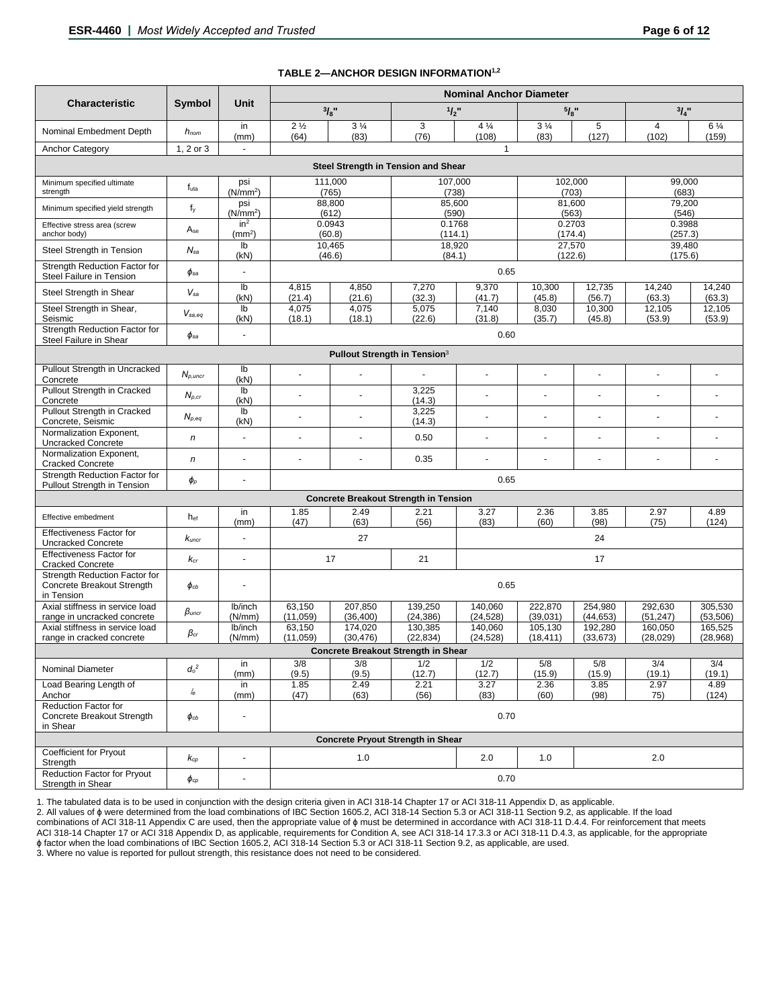|                                                                           |                         |                              |                        |                        |                                              | <b>Nominal Anchor Diameter</b> |                        |                            |                         |                         |  |  |
|---------------------------------------------------------------------------|-------------------------|------------------------------|------------------------|------------------------|----------------------------------------------|--------------------------------|------------------------|----------------------------|-------------------------|-------------------------|--|--|
| <b>Characteristic</b>                                                     | Symbol                  | <b>Unit</b>                  | 3/8"                   |                        | $1/2$ "                                      |                                | 5/8"                   |                            | $^{3}I_{4}$ "           |                         |  |  |
| Nominal Embedment Depth                                                   | $h_{nom}$               | in<br>(mm)                   | 2 <sub>2</sub><br>(64) | $3\frac{1}{4}$<br>(83) | 3<br>(76)                                    | $4\frac{1}{4}$<br>(108)        | $3\frac{1}{4}$<br>(83) | 5<br>(127)                 | $\overline{4}$<br>(102) | $6\frac{1}{4}$<br>(159) |  |  |
| 1, 2 or 3<br>$\mathbf{1}$<br><b>Anchor Category</b><br>÷.                 |                         |                              |                        |                        |                                              |                                |                        |                            |                         |                         |  |  |
|                                                                           |                         |                              |                        |                        | Steel Strength in Tension and Shear          |                                |                        |                            |                         |                         |  |  |
| Minimum specified ultimate<br>strength                                    | futa                    | psi<br>(N/mm <sup>2</sup> )  |                        | 111,000<br>(765)       | 107,000<br>(738)                             |                                | (703)                  | 102,000<br>99,000<br>(683) |                         |                         |  |  |
| Minimum specified yield strength                                          | $f_y$                   | psi<br>(N/mm <sup>2</sup> )  |                        | 88,800<br>(612)        | 85,600<br>(590)                              |                                | 81,600<br>(563)        |                            | 79,200<br>(546)         |                         |  |  |
| Effective stress area (screw<br>anchor body)                              | Ase                     | $in^2$<br>(mm <sup>2</sup> ) |                        | 0.0943<br>(60.8)       | 0.1768<br>(114.1)                            |                                | 0.2703<br>(174.4)      |                            | 0.3988<br>(257.3)       |                         |  |  |
| Steel Strength in Tension                                                 | $N_{sa}$                | Ib<br>(kN)                   |                        | 10,465<br>(46.6)       | 18,920<br>(84.1)                             |                                | 27,570<br>(122.6)      |                            | 39,480<br>(175.6)       |                         |  |  |
| Strength Reduction Factor for<br>Steel Failure in Tension                 | $\phi_{sa}$             | ÷,                           |                        |                        |                                              | 0.65                           |                        |                            |                         |                         |  |  |
| Steel Strength in Shear                                                   | $V_{sa}$                | Ib<br>(kN)                   | 4,815<br>(21.4)        | 4,850<br>(21.6)        | 7,270<br>(32.3)                              | 9,370<br>(41.7)                | 10,300<br>(45.8)       | 12,735<br>(56.7)           | 14,240<br>(63.3)        | 14,240<br>(63.3)        |  |  |
| Steel Strength in Shear,<br>Seismic                                       | $V_{sa,eq}$             | lb<br>(kN)                   | 4,075<br>(18.1)        | 4,075<br>(18.1)        | 5,075<br>(22.6)                              | 7,140<br>(31.8)                | 8,030<br>(35.7)        | 10,300<br>(45.8)           | 12,105<br>(53.9)        | 12,105<br>(53.9)        |  |  |
| Strength Reduction Factor for<br>Steel Failure in Shear                   | $\phi_{sa}$             | ÷,                           |                        |                        |                                              | 0.60                           |                        |                            |                         |                         |  |  |
|                                                                           |                         |                              |                        |                        | Pullout Strength in Tension <sup>3</sup>     |                                |                        |                            |                         |                         |  |  |
| Pullout Strength in Uncracked<br>Concrete                                 | $N_{p,uncr}$            | Ib<br>(kN)                   |                        | $\overline{a}$         | $\blacksquare$                               | ÷,                             | ä,                     | ÷,                         |                         |                         |  |  |
| Pullout Strength in Cracked<br>Concrete                                   | $N_{p,cr}$              | Ib<br>(kN)                   | $\overline{a}$         | ÷.                     | 3,225<br>(14.3)                              | ä,                             | ä,                     | $\overline{\phantom{a}}$   | $\blacksquare$          |                         |  |  |
| Pullout Strength in Cracked<br>Concrete, Seismic                          | $N_{p,eq}$              | Ib<br>(kN)                   |                        |                        | 3,225<br>(14.3)                              |                                |                        |                            |                         |                         |  |  |
| Normalization Exponent,<br><b>Uncracked Concrete</b>                      | $\boldsymbol{n}$        | ä,                           |                        |                        | 0.50                                         |                                |                        |                            |                         |                         |  |  |
| Normalization Exponent,<br><b>Cracked Concrete</b>                        | $\boldsymbol{n}$        | ä,                           | $\blacksquare$         | ÷,                     | 0.35                                         |                                | ÷,                     | ÷,                         |                         |                         |  |  |
| Strength Reduction Factor for<br>Pullout Strength in Tension              | $\pmb{\phi}_P$          | $\overline{a}$               |                        |                        |                                              | 0.65                           |                        |                            |                         |                         |  |  |
|                                                                           |                         |                              |                        |                        | <b>Concrete Breakout Strength in Tension</b> |                                |                        |                            |                         |                         |  |  |
| Effective embedment                                                       | hef                     | in<br>(mm)                   | 1.85<br>(47)           | 2.49<br>(63)           | 2.21<br>(56)                                 | 3.27<br>(83)                   | 2.36<br>(60)           | 3.85<br>(98)               | 2.97<br>(75)            | 4.89<br>(124)           |  |  |
| Effectiveness Factor for<br><b>Uncracked Concrete</b>                     | Kuncr                   | $\blacksquare$               |                        | 27                     |                                              | 24                             |                        |                            |                         |                         |  |  |
| <b>Effectiveness Factor for</b><br><b>Cracked Concrete</b>                | $k_{cr}$                | $\blacksquare$               |                        | 17                     | 21                                           |                                |                        | 17                         |                         |                         |  |  |
| Strength Reduction Factor for<br>Concrete Breakout Strength<br>in Tension | $\phi_{cb}$             |                              |                        |                        |                                              | 0.65                           |                        |                            |                         |                         |  |  |
| Axial stiffness in service load<br>range in uncracked concrete            | $\beta_{\textit{uncr}}$ | lb/inch<br>(N/mm)            | 63,150<br>(11,059)     | 207,850<br>(36, 400)   | 139,250<br>(24, 386)                         | 140,060<br>(24, 528)           | 222,870<br>(39,031)    | 254,980<br>(44, 653)       | 292,630<br>(51, 247)    | 305.530<br>(53, 506)    |  |  |
| Axial stiffness in service load<br>range in cracked concrete              | $\beta$ cr              | lb/inch<br>(N/mm)            | 63,150<br>(11,059)     | 174,020<br>(30, 476)   | 130.385<br>(22, 834)                         | 140,060<br>(24, 528)           | 105,130<br>(18, 411)   | 192,280<br>(33, 673)       | 160.050<br>(28, 029)    | 165,525<br>(28, 968)    |  |  |
|                                                                           |                         |                              |                        |                        | <b>Concrete Breakout Strength in Shear</b>   |                                |                        |                            |                         |                         |  |  |
| Nominal Diameter                                                          | $d_o^2$                 | in<br>(mm)                   | 3/8<br>(9.5)           | 3/8<br>(9.5)           | 1/2<br>(12.7)                                | 1/2<br>(12.7)                  | 5/8<br>(15.9)          | 5/8<br>(15.9)              | 3/4<br>(19.1)           | 3/4<br>(19.1)           |  |  |
| Load Bearing Length of<br>Anchor                                          | le                      | in<br>(mm)                   | 1.85<br>(47)           | 2.49<br>(63)           | 2.21<br>(56)                                 | 3.27<br>(83)                   | 2.36<br>(60)           | 3.85<br>(98)               | 2.97<br>75)             | 4.89<br>(124)           |  |  |
| Reduction Factor for<br>Concrete Breakout Strength                        | $\phi_{cb}$             | $\overline{a}$               | 0.70                   |                        |                                              |                                |                        |                            |                         |                         |  |  |
| in Shear<br><b>Concrete Pryout Strength in Shear</b>                      |                         |                              |                        |                        |                                              |                                |                        |                            |                         |                         |  |  |
| Coefficient for Pryout<br>Strength                                        | $K_{CP}$                | $\overline{a}$               |                        | 1.0                    |                                              | 2.0                            | 1.0                    |                            | 2.0                     |                         |  |  |
| Reduction Factor for Pryout<br>Strength in Shear                          | $\pmb{\phi}$ cp         | $\overline{a}$               | 0.70                   |                        |                                              |                                |                        |                            |                         |                         |  |  |

### **TABLE 2—ANCHOR DESIGN INFORMATION1,2**

1. The tabulated data is to be used in conjunction with the design criteria given in ACI 318-14 Chapter 17 or ACI 318-11 Appendix D, as applicable.

2. All values of ϕ were determined from the load combinations of IBC Section 1605.2, ACI 318-14 Section 5.3 or ACI 318-11 Section 9.2, as applicable. If the load combinations of ACI 318-11 Appendix C are used, then the appropriate value of ϕ must be determined in accordance with ACI 318-11 D.4.4. For reinforcement that meets ACI 318-14 Chapter 17 or ACI 318 Appendix D, as applicable, requirements for Condition A, see ACI 318-14 17.3.3 or ACI 318-11 D.4.3, as applicable, for the appropriate ϕ factor when the load combinations of IBC Section 1605.2, ACI 318-14 Section 5.3 or ACI 318-11 Section 9.2, as applicable, are used.

3. Where no value is reported for pullout strength, this resistance does not need to be considered.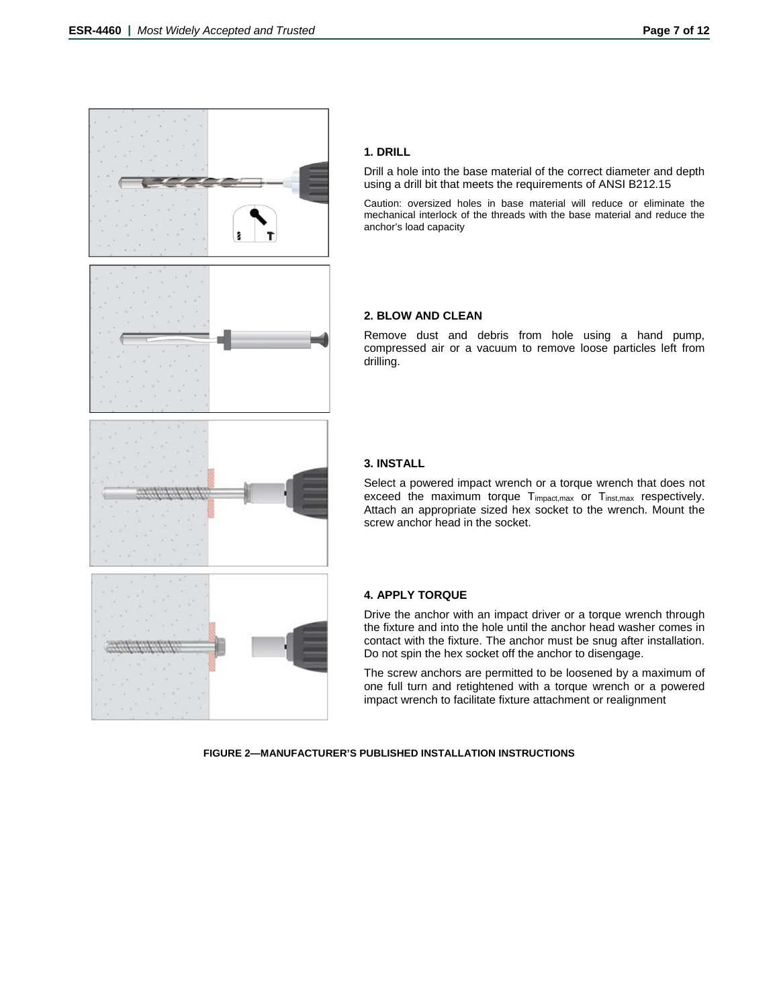

# **1. DRILL**

Drill a hole into the base material of the correct diameter and depth using a drill bit that meets the requirements of ANSI B212.15

Caution: oversized holes in base material will reduce or eliminate the mechanical interlock of the threads with the base material and reduce the anchor's load capacity

# **2. BLOW AND CLEAN**

Remove dust and debris from hole using a hand pump, compressed air or a vacuum to remove loose particles left from drilling.

# **3. INSTALL**

Select a powered impact wrench or a torque wrench that does not exceed the maximum torque Timpact, max or Tinst, max respectively. Attach an appropriate sized hex socket to the wrench. Mount the screw anchor head in the socket.

### **4. APPLY TORQUE**

Drive the anchor with an impact driver or a torque wrench through the fixture and into the hole until the anchor head washer comes in contact with the fixture. The anchor must be snug after installation. Do not spin the hex socket off the anchor to disengage.

The screw anchors are permitted to be loosened by a maximum of one full turn and retightened with a torque wrench or a powered impact wrench to facilitate fixture attachment or realignment

**FIGURE 2—MANUFACTURER'S PUBLISHED INSTALLATION INSTRUCTIONS**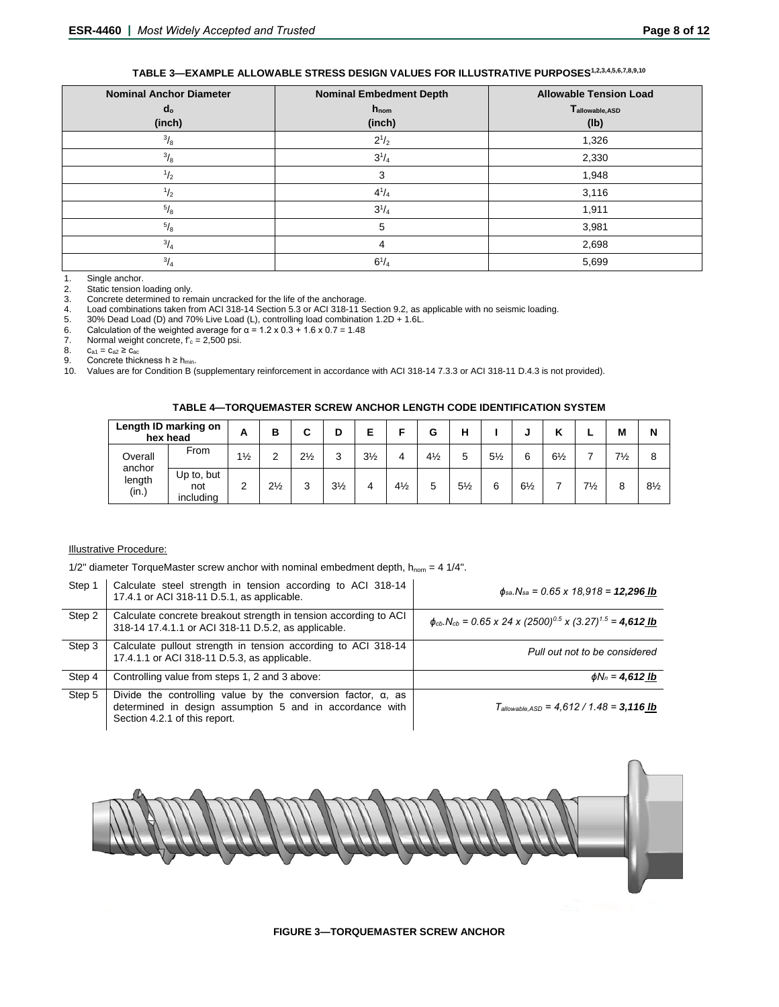**TABLE 3—EXAMPLE ALLOWABLE STRESS DESIGN VALUES FOR ILLUSTRATIVE PURPOSES1,2,3,4,5,6,7,8,9,10**

| <b>Nominal Anchor Diameter</b> | <b>Nominal Embedment Depth</b> | <b>Allowable Tension Load</b> |  |  |  |  |
|--------------------------------|--------------------------------|-------------------------------|--|--|--|--|
| d <sub>o</sub>                 | $h_{nom}$                      | Tallowable, ASD               |  |  |  |  |
| (inch)                         | (inch)                         | (1b)                          |  |  |  |  |
| $^{3}/_{8}$                    | $2^{1/2}$                      | 1,326                         |  |  |  |  |
| $^{3}/_{8}$                    | $3^{1/4}$                      | 2,330                         |  |  |  |  |
| $\frac{1}{2}$                  | 3                              | 1,948                         |  |  |  |  |
| $\frac{1}{2}$                  | $4^{1}/_{4}$                   | 3,116                         |  |  |  |  |
| $^{5}/_8$                      | $3^{1}/_{4}$                   | 1,911                         |  |  |  |  |
| $^{5}/_8$                      | 5                              | 3,981                         |  |  |  |  |
| $^{3}/_{4}$                    | 4                              | 2,698                         |  |  |  |  |
| $^{3}/_{4}$                    | $6^{1}/_{4}$                   | 5,699                         |  |  |  |  |

1. Single anchor.<br>2. Static tension I

2. Static tension loading only.<br>3. Concrete determined to ren

3. Concrete determined to remain uncracked for the life of the anchorage.<br>4. Load combinations taken from ACI 318-14 Section 5.3 or ACI 318-11 S 4. Load combinations taken from ACI 318-14 Section 5.3 or ACI 318-11 Section 9.2, as applicable with no seismic loading.

5. 30% Dead Load (D) and 70% Live Load (L), controlling load combination 1.2D + 1.6L.

6. Calculation of the weighted average for α = 1.2 x 0.3 + 1.6 x 0.7 = 1.48

7. Normal weight concrete,  $f'_{c} = 2,500$  psi.<br>8.  $c_{a1} = c_{a2} \ge c_{ac}$ 

8.  $c_{a1} = c_{a2} \ge c_{ac}$ 

9. Concrete thickness h ≥ h<sub>min</sub>.

10. Values are for Condition B (supplementary reinforcement in accordance with ACI 318-14 7.3.3 or ACI 318-11 D.4.3 is not provided).

**TABLE 4—TORQUEMASTER SCREW ANCHOR LENGTH CODE IDENTIFICATION SYSTEM** 

| Length ID marking on<br>hex head |                                | A              | в              | C              | D              |                |                | G              | н              |                | ۰.             | Κ              |                | M              | N              |
|----------------------------------|--------------------------------|----------------|----------------|----------------|----------------|----------------|----------------|----------------|----------------|----------------|----------------|----------------|----------------|----------------|----------------|
| Overall                          | From                           | $1\frac{1}{2}$ | C<br>∸         | $2\frac{1}{2}$ | 3              | $3\frac{1}{2}$ |                | $4\frac{1}{2}$ | 5              | $5\frac{1}{2}$ | 6              | $6\frac{1}{2}$ |                | $7\frac{1}{2}$ | 8              |
| anchor<br>length<br>(in.)        | Up to, but<br>not<br>including |                | $2\frac{1}{2}$ | 3              | $3\frac{1}{2}$ | 4              | $4\frac{1}{2}$ | 5              | $5\frac{1}{2}$ | 6              | $6\frac{1}{2}$ |                | $7\frac{1}{2}$ | 8              | $8\frac{1}{2}$ |

### Illustrative Procedure:

1/2" diameter TorqueMaster screw anchor with nominal embedment depth,  $h_{nom} = 4$  1/4".

| Step 1 | Calculate steel strength in tension according to ACI 318-14<br>17.4.1 or ACI 318-11 D.5.1, as applicable.                                                         | $\phi_{sa}$ . N <sub>sa</sub> = 0.65 x 18.918 = <b>12.296 lb</b>                                            |
|--------|-------------------------------------------------------------------------------------------------------------------------------------------------------------------|-------------------------------------------------------------------------------------------------------------|
| Step 2 | Calculate concrete breakout strength in tension according to ACI<br>318-14 17.4.1.1 or ACI 318-11 D.5.2, as applicable.                                           | $\phi_{cb}$ . N <sub>cb</sub> = 0.65 x 24 x (2500) <sup>0.5</sup> x (3.27) <sup>1.5</sup> = <b>4,612 lb</b> |
| Step 3 | Calculate pullout strength in tension according to ACI 318-14<br>17.4.1.1 or ACI 318-11 D.5.3, as applicable.                                                     | Pull out not to be considered                                                                               |
| Step 4 | Controlling value from steps 1, 2 and 3 above:                                                                                                                    | $\phi N_n = 4,612$ lb                                                                                       |
| Step 5 | Divide the controlling value by the conversion factor, $\alpha$ , as<br>determined in design assumption 5 and in accordance with<br>Section 4.2.1 of this report. | $T_{\text{allowable. ASD}} = 4,612 / 1.48 = 3,116$ Ib                                                       |



**FIGURE 3—TORQUEMASTER SCREW ANCHOR**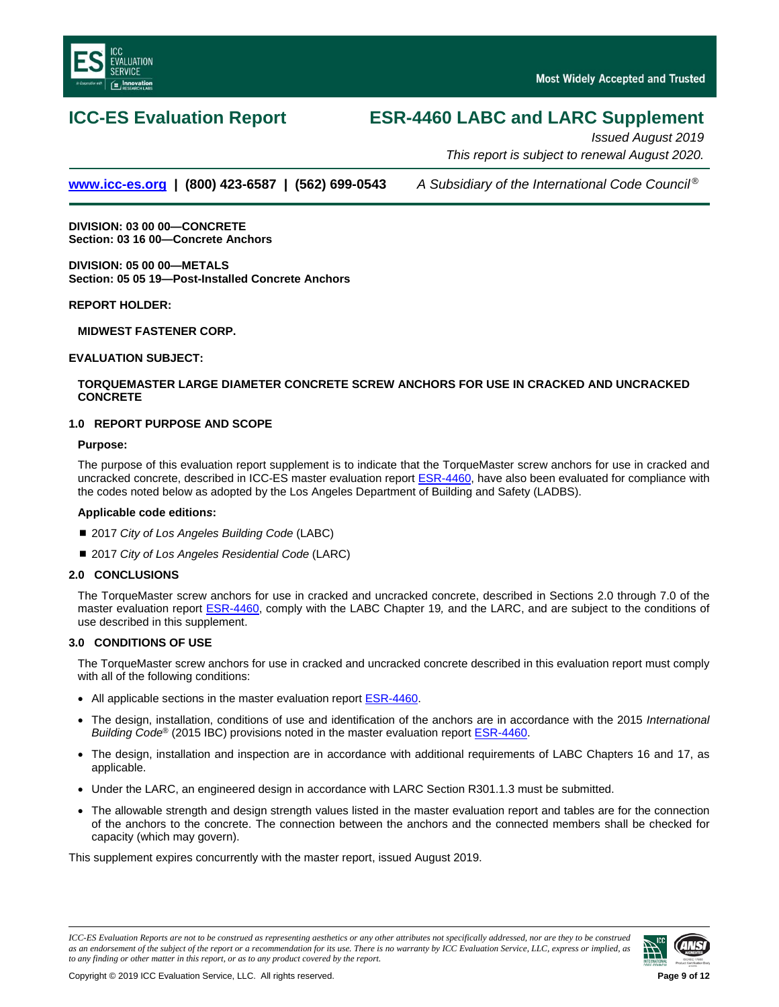<span id="page-8-0"></span>

# **ICC-ES Evaluation Report ESR-4460 LABC and LARC Supplement**

*Issued August 2019 This report is subject to renewal August 2020.*

**[www.icc-es.org](http://www.icc-es.org/) | (800) 423-6587 | (562) 699-0543** *A Subsidiary of the International Code Council ®*

**DIVISION: 03 00 00—CONCRETE Section: 03 16 00—Concrete Anchors**

**DIVISION: 05 00 00—METALS Section: 05 05 19—Post-Installed Concrete Anchors**

**REPORT HOLDER:**

**MIDWEST FASTENER CORP.**

**EVALUATION SUBJECT:**

# **TORQUEMASTER LARGE DIAMETER CONCRETE SCREW ANCHORS FOR USE IN CRACKED AND UNCRACKED CONCRETE**

# **1.0 REPORT PURPOSE AND SCOPE**

### **Purpose:**

The purpose of this evaluation report supplement is to indicate that the TorqueMaster screw anchors for use in cracked and uncracked concrete, described in ICC-ES master evaluation report **ESR-4460**, have also been evaluated for compliance with the codes noted below as adopted by the Los Angeles Department of Building and Safety (LADBS).

### **Applicable code edition***s***:**

- 2017 *City of Los Angeles Building Code* (LABC)
- 2017 *City of Los Angeles Residential Code* (LARC)

# **2.0 CONCLUSIONS**

The TorqueMaster screw anchors for use in cracked and uncracked concrete, described in Sections 2.0 through 7.0 of the master evaluation report [ESR-4460,](#page-0-0) comply with the LABC Chapter 19*,* and the LARC, and are subject to the conditions of use described in this supplement.

# **3.0 CONDITIONS OF USE**

The TorqueMaster screw anchors for use in cracked and uncracked concrete described in this evaluation report must comply with all of the following conditions:

- All applicable sections in the master evaluation report **ESR-4460**.
- The design, installation, conditions of use and identification of the anchors are in accordance with the 2015 *International Building Code®* (2015 IBC) provisions noted in the master evaluation report **ESR-4460**.
- The design, installation and inspection are in accordance with additional requirements of LABC Chapters 16 and 17, as applicable.
- Under the LARC, an engineered design in accordance with LARC Section R301.1.3 must be submitted.
- The allowable strength and design strength values listed in the master evaluation report and tables are for the connection of the anchors to the concrete. The connection between the anchors and the connected members shall be checked for capacity (which may govern).

This supplement expires concurrently with the master report, issued August 2019.

*ICC-ES Evaluation Reports are not to be construed as representing aesthetics or any other attributes not specifically addressed, nor are they to be construed as an endorsement of the subject of the report or a recommendation for its use. There is no warranty by ICC Evaluation Service, LLC, express or implied, as to any finding or other matter in this report, or as to any product covered by the report.*

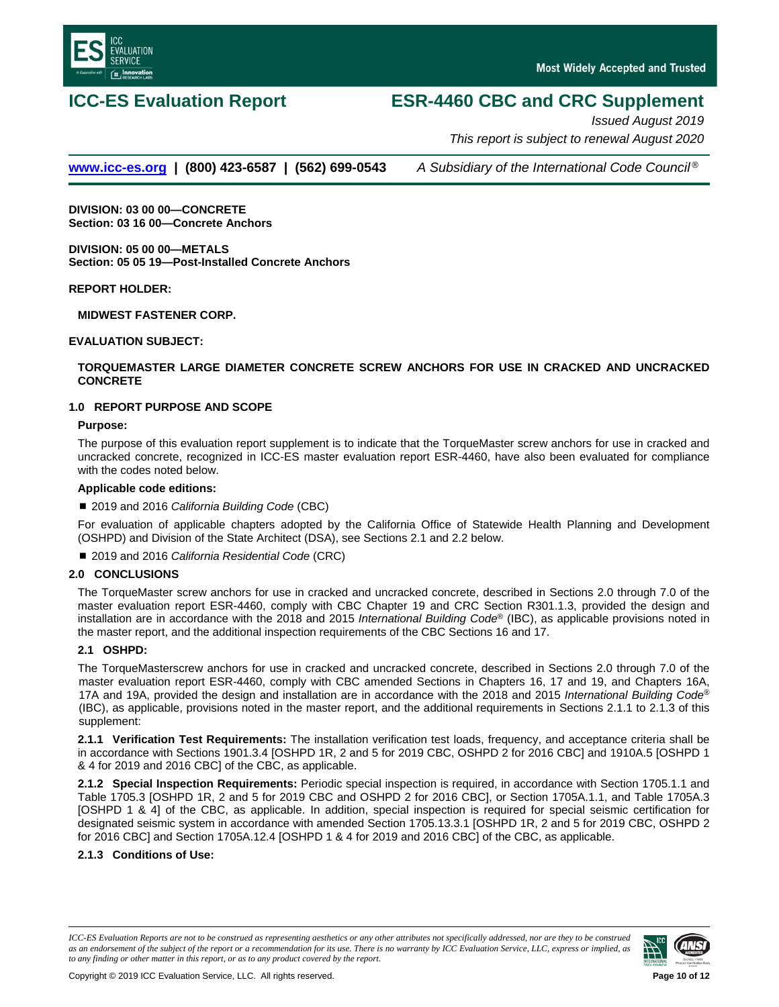

# **ICC-ES Evaluation Report ESR-4460 CBC and CRC Supplement**

*Issued August 2019 This report is subject to renewal August 2020*

# **[www.icc-es.org](http://www.icc-es.org/) | (800) 423-6587 | (562) 699-0543** *A Subsidiary of the International Code Council ®*

**DIVISION: 03 00 00—CONCRETE Section: 03 16 00—Concrete Anchors**

**DIVISION: 05 00 00—METALS Section: 05 05 19—Post-Installed Concrete Anchors**

**REPORT HOLDER:**

**MIDWEST FASTENER CORP.**

**EVALUATION SUBJECT:**

# **TORQUEMASTER LARGE DIAMETER CONCRETE SCREW ANCHORS FOR USE IN CRACKED AND UNCRACKED CONCRETE**

# **1.0 REPORT PURPOSE AND SCOPE**

**Purpose:**

The purpose of this evaluation report supplement is to indicate that the TorqueMaster screw anchors for use in cracked and uncracked concrete, recognized in ICC-ES master evaluation report ESR-4460, have also been evaluated for compliance with the codes noted below.

### **Applicable code editions:**

■ 2019 and 2016 *California Building Code* (CBC)

For evaluation of applicable chapters adopted by the California Office of Statewide Health Planning and Development (OSHPD) and Division of the State Architect (DSA), see Sections 2.1 and 2.2 below.

■ 2019 and 2016 *California Residential Code* (CRC)

### **2.0 CONCLUSIONS**

The TorqueMaster screw anchors for use in cracked and uncracked concrete, described in Sections 2.0 through 7.0 of the master evaluation report ESR-4460, comply with CBC Chapter 19 and CRC Section R301.1.3, provided the design and installation are in accordance with the 2018 and 2015 *International Building Code*® (IBC), as applicable provisions noted in the master report, and the additional inspection requirements of the CBC Sections 16 and 17.

# **2.1 OSHPD:**

The TorqueMasterscrew anchors for use in cracked and uncracked concrete, described in Sections 2.0 through 7.0 of the master evaluation report ESR-4460, comply with CBC amended Sections in Chapters 16, 17 and 19, and Chapters 16A, 17A and 19A, provided the design and installation are in accordance with the 2018 and 2015 *International Building Code*® (IBC), as applicable, provisions noted in the master report, and the additional requirements in Sections 2.1.1 to 2.1.3 of this supplement:

**2.1.1 Verification Test Requirements:** The installation verification test loads, frequency, and acceptance criteria shall be in accordance with Sections 1901.3.4 [OSHPD 1R, 2 and 5 for 2019 CBC, OSHPD 2 for 2016 CBC] and 1910A.5 [OSHPD 1 & 4 for 2019 and 2016 CBC] of the CBC, as applicable.

**2.1.2 Special Inspection Requirements:** Periodic special inspection is required, in accordance with Section 1705.1.1 and Table 1705.3 [OSHPD 1R, 2 and 5 for 2019 CBC and OSHPD 2 for 2016 CBC], or Section 1705A.1.1, and Table 1705A.3 [OSHPD 1 & 4] of the CBC, as applicable. In addition, special inspection is required for special seismic certification for designated seismic system in accordance with amended Section 1705.13.3.1 [OSHPD 1R, 2 and 5 for 2019 CBC, OSHPD 2 for 2016 CBC] and Section 1705A.12.4 [OSHPD 1 & 4 for 2019 and 2016 CBC] of the CBC, as applicable.

**2.1.3 Conditions of Use:** 

*ICC-ES Evaluation Reports are not to be construed as representing aesthetics or any other attributes not specifically addressed, nor are they to be construed as an endorsement of the subject of the report or a recommendation for its use. There is no warranty by ICC Evaluation Service, LLC, express or implied, as to any finding or other matter in this report, or as to any product covered by the report.*

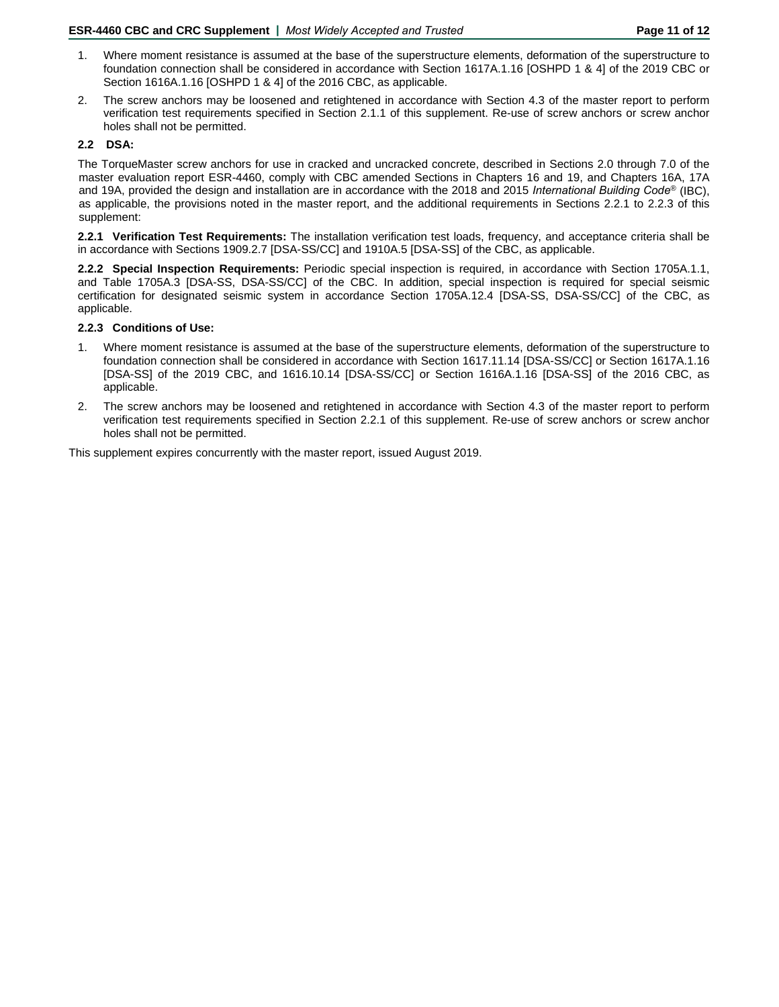- 1. Where moment resistance is assumed at the base of the superstructure elements, deformation of the superstructure to foundation connection shall be considered in accordance with Section 1617A.1.16 [OSHPD 1 & 4] of the 2019 CBC or Section 1616A.1.16 [OSHPD 1 & 4] of the 2016 CBC, as applicable.
- 2. The screw anchors may be loosened and retightened in accordance with Section 4.3 of the master report to perform verification test requirements specified in Section 2.1.1 of this supplement. Re-use of screw anchors or screw anchor holes shall not be permitted.

# **2.2 DSA:**

The TorqueMaster screw anchors for use in cracked and uncracked concrete, described in Sections 2.0 through 7.0 of the master evaluation report ESR-4460, comply with CBC amended Sections in Chapters 16 and 19, and Chapters 16A, 17A and 19A, provided the design and installation are in accordance with the 2018 and 2015 *International Building Code*® (IBC), as applicable, the provisions noted in the master report, and the additional requirements in Sections 2.2.1 to 2.2.3 of this supplement:

**2.2.1 Verification Test Requirements:** The installation verification test loads, frequency, and acceptance criteria shall be in accordance with Sections 1909.2.7 [DSA-SS/CC] and 1910A.5 [DSA-SS] of the CBC, as applicable.

**2.2.2 Special Inspection Requirements:** Periodic special inspection is required, in accordance with Section 1705A.1.1, and Table 1705A.3 [DSA-SS, DSA-SS/CC] of the CBC. In addition, special inspection is required for special seismic certification for designated seismic system in accordance Section 1705A.12.4 [DSA-SS, DSA-SS/CC] of the CBC, as applicable.

# **2.2.3 Conditions of Use:**

- 1. Where moment resistance is assumed at the base of the superstructure elements, deformation of the superstructure to foundation connection shall be considered in accordance with Section 1617.11.14 [DSA-SS/CC] or Section 1617A.1.16 [DSA-SS] of the 2019 CBC, and 1616.10.14 [DSA-SS/CC] or Section 1616A.1.16 [DSA-SS] of the 2016 CBC, as applicable.
- 2. The screw anchors may be loosened and retightened in accordance with Section 4.3 of the master report to perform verification test requirements specified in Section 2.2.1 of this supplement. Re-use of screw anchors or screw anchor holes shall not be permitted.

This supplement expires concurrently with the master report, issued August 2019.